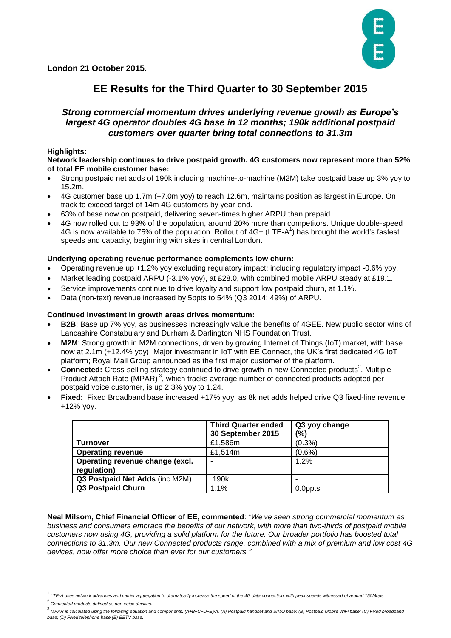**London 21 October 2015.** 



## **EE Results for the Third Quarter to 30 September 2015**

## *Strong commercial momentum drives underlying revenue growth as Europe's largest 4G operator doubles 4G base in 12 months; 190k additional postpaid customers over quarter bring total connections to 31.3m*

## **Highlights:**

#### **Network leadership continues to drive postpaid growth. 4G customers now represent more than 52% of total EE mobile customer base:**

- Strong postpaid net adds of 190k including machine-to-machine (M2M) take postpaid base up 3% yoy to 15.2m.
- 4G customer base up 1.7m (+7.0m yoy) to reach 12.6m, maintains position as largest in Europe. On track to exceed target of 14m 4G customers by year-end.
- 63% of base now on postpaid, delivering seven-times higher ARPU than prepaid.
- 4G now rolled out to 93% of the population, around 20% more than competitors. Unique double-speed 4G is now available to 75% of the population. Rollout of  $4G+ (LTE-A^1)$  has brought the world's fastest speeds and capacity, beginning with sites in central London.

## **Underlying operating revenue performance complements low churn:**

- Operating revenue up +1.2% yoy excluding regulatory impact; including regulatory impact -0.6% yoy.
- Market leading postpaid ARPU (-3.1% yoy), at £28.0, with combined mobile ARPU steady at £19.1.
- Service improvements continue to drive loyalty and support low postpaid churn, at 1.1%.
- Data (non-text) revenue increased by 5ppts to 54% (Q3 2014: 49%) of ARPU.

## **Continued investment in growth areas drives momentum:**

- **B2B**: Base up 7% yoy, as businesses increasingly value the benefits of 4GEE. New public sector wins of Lancashire Constabulary and Durham & Darlington NHS Foundation Trust.
- **M2M**: Strong growth in M2M connections, driven by growing Internet of Things (IoT) market, with base now at 2.1m (+12.4% yoy). Major investment in IoT with EE Connect, the UK's first dedicated 4G IoT platform; Royal Mail Group announced as the first major customer of the platform.
- Connected: Cross-selling strategy continued to drive growth in new Connected products<sup>2</sup>. Multiple Product Attach Rate (MPAR)<sup>3</sup>, which tracks average number of connected products adopted per postpaid voice customer, is up 2.3% yoy to 1.24.
- **Fixed:** Fixed Broadband base increased +17% yoy, as 8k net adds helped drive Q3 fixed-line revenue +12% yoy.

|                                 | <b>Third Quarter ended</b><br>30 September 2015 | Q3 yoy change<br>(%) |  |  |
|---------------------------------|-------------------------------------------------|----------------------|--|--|
| <b>Turnover</b>                 | £1,586m                                         | $(0.3\%)$            |  |  |
| <b>Operating revenue</b>        | £1,514m                                         | $(0.6\%)$            |  |  |
| Operating revenue change (excl. |                                                 | 1.2%                 |  |  |
| regulation)                     |                                                 |                      |  |  |
| Q3 Postpaid Net Adds (inc M2M)  | 190 <sub>k</sub>                                |                      |  |  |
| <b>Q3 Postpaid Churn</b>        | 1.1%                                            | 0.0ppts              |  |  |

**Neal Milsom, Chief Financial Officer of EE, commented**: "*We've seen strong commercial momentum as business and consumers embrace the benefits of our network, with more than two-thirds of postpaid mobile customers now using 4G, providing a solid platform for the future. Our broader portfolio has boosted total connections to 31.3m. Our new Connected products range, combined with a mix of premium and low cost 4G devices, now offer more choice than ever for our customers."*

- 2 *Connected products defined as non-voice devices.*
- 3 *MPAR is calculated using the following equation and components: (A+B+C+D+E)/A. (A) Postpaid handset and SIMO base; (B) Postpaid Mobile WiFi base; (C) Fixed broadband base; (D) Fixed telephone base (E) EETV base.*

<sup>1</sup>*LTE-A uses network advances and carrier aggregation to dramatically increase the speed of the 4G data connection, with peak speeds witnessed of around 150Mbps.*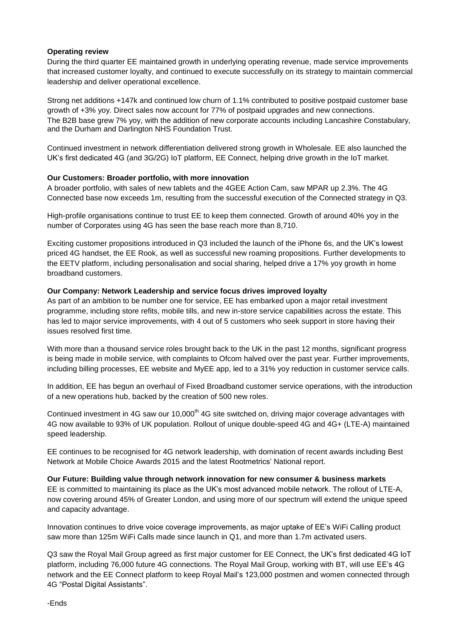## **Operating review**

During the third quarter EE maintained growth in underlying operating revenue, made service improvements that increased customer loyalty, and continued to execute successfully on its strategy to maintain commercial leadership and deliver operational excellence.

Strong net additions +147k and continued low churn of 1.1% contributed to positive postpaid customer base growth of +3% yoy. Direct sales now account for 77% of postpaid upgrades and new connections. The B2B base grew 7% yoy, with the addition of new corporate accounts including Lancashire Constabulary, and the Durham and Darlington NHS Foundation Trust.

Continued investment in network differentiation delivered strong growth in Wholesale. EE also launched the UK's first dedicated 4G (and 3G/2G) IoT platform, EE Connect, helping drive growth in the IoT market.

## **Our Customers: Broader portfolio, with more innovation**

A broader portfolio, with sales of new tablets and the 4GEE Action Cam, saw MPAR up 2.3%. The 4G Connected base now exceeds 1m, resulting from the successful execution of the Connected strategy in Q3.

High-profile organisations continue to trust EE to keep them connected. Growth of around 40% yoy in the number of Corporates using 4G has seen the base reach more than 8,710.

Exciting customer propositions introduced in Q3 included the launch of the iPhone 6s, and the UK's lowest priced 4G handset, the EE Rook, as well as successful new roaming propositions. Further developments to the EETV platform, including personalisation and social sharing, helped drive a 17% yoy growth in home broadband customers.

## **Our Company: Network Leadership and service focus drives improved loyalty**

As part of an ambition to be number one for service, EE has embarked upon a major retail investment programme, including store refits, mobile tills, and new in-store service capabilities across the estate. This has led to major service improvements, with 4 out of 5 customers who seek support in store having their issues resolved first time.

With more than a thousand service roles brought back to the UK in the past 12 months, significant progress is being made in mobile service, with complaints to Ofcom halved over the past year. Further improvements, including billing processes, EE website and MyEE app, led to a 31% yoy reduction in customer service calls.

In addition, EE has begun an overhaul of Fixed Broadband customer service operations, with the introduction of a new operations hub, backed by the creation of 500 new roles.

Continued investment in 4G saw our 10,000<sup>th</sup> 4G site switched on, driving major coverage advantages with 4G now available to 93% of UK population. Rollout of unique double-speed 4G and 4G+ (LTE-A) maintained speed leadership.

EE continues to be recognised for 4G network leadership, with domination of recent awards including Best Network at Mobile Choice Awards 2015 and the latest Rootmetrics' National report.

**Our Future: Building value through network innovation for new consumer & business markets**

EE is committed to maintaining its place as the UK's most advanced mobile network. The rollout of LTE-A, now covering around 45% of Greater London, and using more of our spectrum will extend the unique speed and capacity advantage.

Innovation continues to drive voice coverage improvements, as major uptake of EE's WiFi Calling product saw more than 125m WiFi Calls made since launch in Q1, and more than 1.7m activated users.

Q3 saw the Royal Mail Group agreed as first major customer for EE Connect, the UK's first dedicated 4G IoT platform, including 76,000 future 4G connections. The Royal Mail Group, working with BT, will use EE's 4G network and the EE Connect platform to keep Royal Mail's 123,000 postmen and women connected through 4G "Postal Digital Assistants".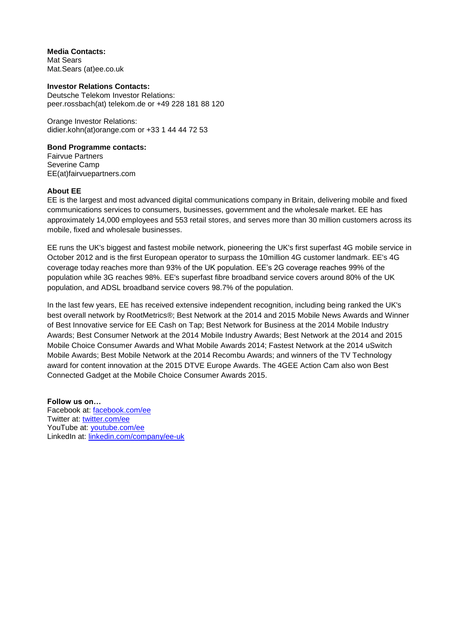**Media Contacts:** Mat Sears Mat.Sears (at)ee.co.uk

**Investor Relations Contacts:** Deutsche Telekom Investor Relations: [peer.rossbach\(at\) telekom.de](mailto:peer.rossbach@telekom.de) or +49 228 181 88 120

Orange Investor Relations: didier.kohn(at)orange.com or +33 1 44 44 72 53

## **Bond Programme contacts:**

Fairvue Partners Severine Camp EE(at)fairvuepartners.com

## **About EE**

EE is the largest and most advanced digital communications company in Britain, delivering mobile and fixed communications services to consumers, businesses, government and the wholesale market. EE has approximately 14,000 employees and 553 retail stores, and serves more than 30 million customers across its mobile, fixed and wholesale businesses.

EE runs the UK's biggest and fastest mobile network, pioneering the UK's first superfast 4G mobile service in October 2012 and is the first European operator to surpass the 10million 4G customer landmark. EE's 4G coverage today reaches more than 93% of the UK population. EE's 2G coverage reaches 99% of the population while 3G reaches 98%. EE's superfast fibre broadband service covers around 80% of the UK population, and ADSL broadband service covers 98.7% of the population.

In the last few years, EE has received extensive independent recognition, including being ranked the UK's best overall network by RootMetrics®; Best Network at the 2014 and 2015 Mobile News Awards and Winner of Best Innovative service for EE Cash on Tap; Best Network for Business at the 2014 Mobile Industry Awards; Best Consumer Network at the 2014 Mobile Industry Awards; Best Network at the 2014 and 2015 Mobile Choice Consumer Awards and What Mobile Awards 2014; Fastest Network at the 2014 uSwitch Mobile Awards; Best Mobile Network at the 2014 Recombu Awards; and winners of the TV Technology award for content innovation at the 2015 DTVE Europe Awards. The 4GEE Action Cam also won Best Connected Gadget at the Mobile Choice Consumer Awards 2015.

**Follow us on…** Facebook at: [facebook.com/ee](http://www.facebook.com/ee) Twitter at: [twitter.com/ee](http://www.twitter.com/ee) YouTube at: [youtube.com/ee](http://www.youtube.com/ee) LinkedIn at: [linkedin.com/company/ee-uk](http://www.linkedin.com/company/ee-uk)